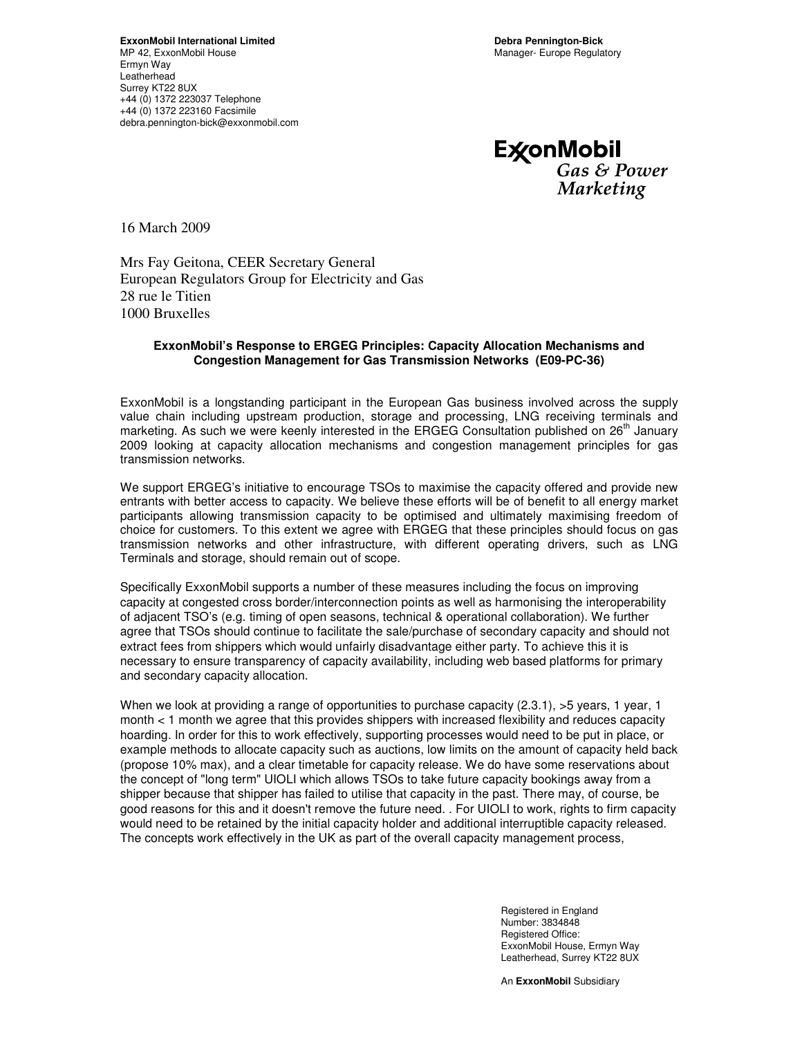**ExconMobil** Gas & Power Marketing

16 March 2009

Mrs Fay Geitona, CEER Secretary General European Regulators Group for Electricity and Gas 28 rue le Titien 1000 Bruxelles

## **ExxonMobil's Response to ERGEG Principles: Capacity Allocation Mechanisms and Congestion Management for Gas Transmission Networks (E09-PC-36)**

ExxonMobil is a longstanding participant in the European Gas business involved across the supply value chain including upstream production, storage and processing, LNG receiving terminals and marketing. As such we were keenly interested in the ERGEG Consultation published on  $26<sup>th</sup>$  January 2009 looking at capacity allocation mechanisms and congestion management principles for gas transmission networks.

We support ERGEG's initiative to encourage TSOs to maximise the capacity offered and provide new entrants with better access to capacity. We believe these efforts will be of benefit to all energy market participants allowing transmission capacity to be optimised and ultimately maximising freedom of choice for customers. To this extent we agree with ERGEG that these principles should focus on gas transmission networks and other infrastructure, with different operating drivers, such as LNG Terminals and storage, should remain out of scope.

Specifically ExxonMobil supports a number of these measures including the focus on improving capacity at congested cross border/interconnection points as well as harmonising the interoperability of adjacent TSO's (e.g. timing of open seasons, technical & operational collaboration). We further agree that TSOs should continue to facilitate the sale/purchase of secondary capacity and should not extract fees from shippers which would unfairly disadvantage either party. To achieve this it is necessary to ensure transparency of capacity availability, including web based platforms for primary and secondary capacity allocation.

When we look at providing a range of opportunities to purchase capacity (2.3.1), >5 years, 1 year, 1 month < 1 month we agree that this provides shippers with increased flexibility and reduces capacity hoarding. In order for this to work effectively, supporting processes would need to be put in place, or example methods to allocate capacity such as auctions, low limits on the amount of capacity held back (propose 10% max), and a clear timetable for capacity release. We do have some reservations about the concept of "long term" UIOLI which allows TSOs to take future capacity bookings away from a shipper because that shipper has failed to utilise that capacity in the past. There may, of course, be good reasons for this and it doesn't remove the future need. . For UIOLI to work, rights to firm capacity would need to be retained by the initial capacity holder and additional interruptible capacity released. The concepts work effectively in the UK as part of the overall capacity management process,

> Registered in England Number: 3834848 Registered Office: ExxonMobil House, Ermyn Way Leatherhead, Surrey KT22 8UX

An **ExxonMobil** Subsidiary